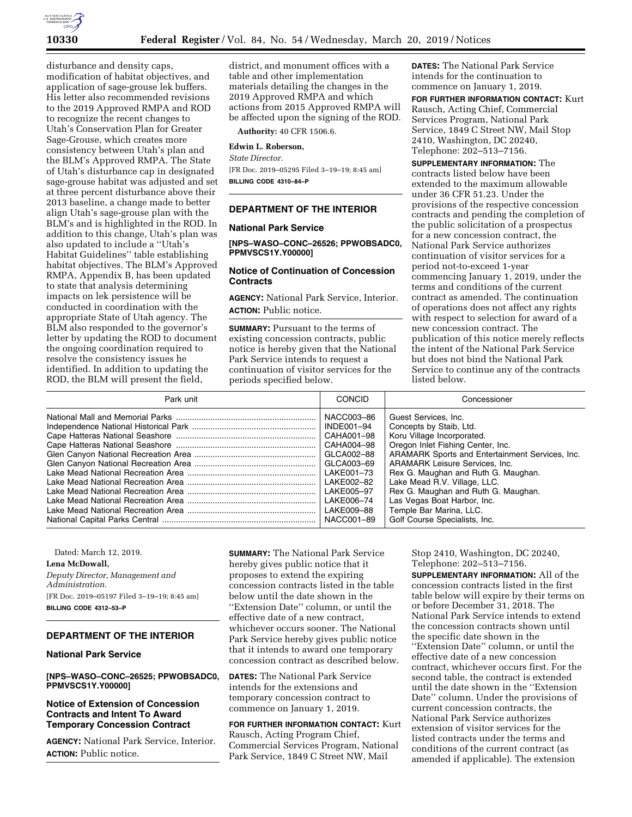

disturbance and density caps, modification of habitat objectives, and application of sage-grouse lek buffers. His letter also recommended revisions to the 2019 Approved RMPA and ROD to recognize the recent changes to Utah's Conservation Plan for Greater Sage-Grouse, which creates more consistency between Utah's plan and the BLM's Approved RMPA. The State of Utah's disturbance cap in designated sage-grouse habitat was adjusted and set at three percent disturbance above their 2013 baseline, a change made to better align Utah's sage-grouse plan with the BLM's and is highlighted in the ROD. In addition to this change, Utah's plan was also updated to include a ''Utah's Habitat Guidelines'' table establishing habitat objectives. The BLM's Approved RMPA, Appendix B, has been updated to state that analysis determining impacts on lek persistence will be conducted in coordination with the appropriate State of Utah agency. The BLM also responded to the governor's letter by updating the ROD to document the ongoing coordination required to resolve the consistency issues he identified. In addition to updating the ROD, the BLM will present the field,

district, and monument offices with a table and other implementation materials detailing the changes in the 2019 Approved RMPA and which actions from 2015 Approved RMPA will be affected upon the signing of the ROD.

**Authority:** 40 CFR 1506.6.

### **Edwin L. Roberson,**

*State Director.* 

[FR Doc. 2019–05295 Filed 3–19–19; 8:45 am] **BILLING CODE 4310–84–P** 

### **DEPARTMENT OF THE INTERIOR**

### **National Park Service**

**[NPS–WASO–CONC–26526; PPWOBSADC0, PPMVSCS1Y.Y00000]** 

## **Notice of Continuation of Concession Contracts**

**AGENCY:** National Park Service, Interior. **ACTION:** Public notice.

**SUMMARY:** Pursuant to the terms of existing concession contracts, public notice is hereby given that the National Park Service intends to request a continuation of visitor services for the periods specified below.

**DATES:** The National Park Service intends for the continuation to commence on January 1, 2019.

**FOR FURTHER INFORMATION CONTACT:** Kurt Rausch, Acting Chief, Commercial Services Program, National Park Service, 1849 C Street NW, Mail Stop 2410, Washington, DC 20240, Telephone: 202–513–7156.

**SUPPLEMENTARY INFORMATION:** The contracts listed below have been extended to the maximum allowable under 36 CFR 51.23. Under the provisions of the respective concession contracts and pending the completion of the public solicitation of a prospectus for a new concession contract, the National Park Service authorizes continuation of visitor services for a period not-to-exceed 1-year commencing January 1, 2019, under the terms and conditions of the current contract as amended. The continuation of operations does not affect any rights with respect to selection for award of a new concession contract. The publication of this notice merely reflects the intent of the National Park Service but does not bind the National Park Service to continue any of the contracts listed below.

| Park unit | CONCID     | Concessioner                                    |
|-----------|------------|-------------------------------------------------|
|           | NACC003-86 | Guest Services, Inc.                            |
|           | INDE001-94 | Concepts by Staib, Ltd.                         |
|           | CAHA001-98 | Koru Village Incorporated.                      |
|           | CAHA004-98 | Oregon Inlet Fishing Center, Inc.               |
|           | GLCA002-88 | ARAMARK Sports and Entertainment Services, Inc. |
|           | GLCA003-69 | <b>ARAMARK Leisure Services, Inc.</b>           |
|           | LAKE001-73 | Rex G. Maughan and Ruth G. Maughan.             |
|           | LAKE002-82 | Lake Mead R.V. Village, LLC.                    |
|           | LAKE005-97 | Rex G. Maughan and Ruth G. Maughan.             |
|           | LAKE006-74 | Las Vegas Boat Harbor, Inc.                     |
|           | LAKE009-88 | Temple Bar Marina, LLC.                         |
|           | NACC001-89 | Golf Course Specialists, Inc.                   |

Dated: March 12, 2019.

#### **Lena McDowall,**

*Deputy Director, Management and Administration.*  [FR Doc. 2019–05197 Filed 3–19–19; 8:45 am] **BILLING CODE 4312–53–P** 

## **DEPARTMENT OF THE INTERIOR**

**National Park Service** 

**[NPS–WASO–CONC–26525; PPWOBSADC0, PPMVSCS1Y.Y00000]** 

## **Notice of Extension of Concession Contracts and Intent To Award Temporary Concession Contract**

**AGENCY:** National Park Service, Interior. **ACTION:** Public notice.

**SUMMARY:** The National Park Service hereby gives public notice that it proposes to extend the expiring concession contracts listed in the table below until the date shown in the ''Extension Date'' column, or until the effective date of a new contract, whichever occurs sooner. The National Park Service hereby gives public notice that it intends to award one temporary concession contract as described below.

**DATES:** The National Park Service intends for the extensions and temporary concession contract to commence on January 1, 2019.

**FOR FURTHER INFORMATION CONTACT:** Kurt Rausch, Acting Program Chief, Commercial Services Program, National Park Service, 1849 C Street NW, Mail

Stop 2410, Washington, DC 20240, Telephone: 202–513–7156.

**SUPPLEMENTARY INFORMATION:** All of the concession contracts listed in the first table below will expire by their terms on or before December 31, 2018. The National Park Service intends to extend the concession contracts shown until the specific date shown in the ''Extension Date'' column, or until the effective date of a new concession contract, whichever occurs first. For the second table, the contract is extended until the date shown in the ''Extension Date'' column. Under the provisions of current concession contracts, the National Park Service authorizes extension of visitor services for the listed contracts under the terms and conditions of the current contract (as amended if applicable). The extension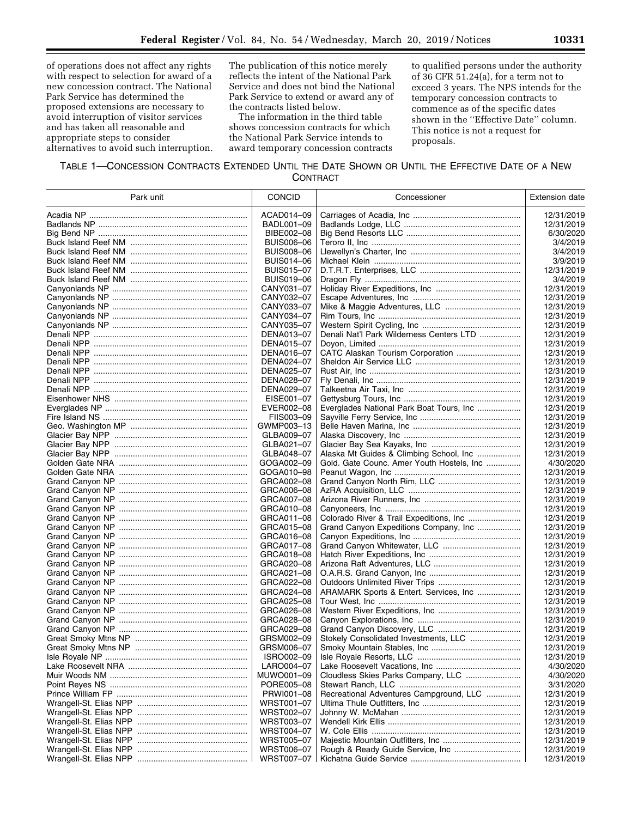of operations does not affect any rights with respect to selection for award of a new concession contract. The National Park Service has determined the proposed extensions are necessary to avoid interruption of visitor services and has taken all reasonable and appropriate steps to consider alternatives to avoid such interruption.

The publication of this notice merely reflects the intent of the National Park Service and does not bind the National Park Service to extend or award any of the contracts listed below.

The information in the third table shows concession contracts for which the National Park Service intends to award temporary concession contracts to qualified persons under the authority of 36 CFR 51.24(a), for a term not to exceed 3 years. The NPS intends for the temporary concession contracts to commence as of the specific dates shown in the ''Effective Date'' column. This notice is not a request for proposals.

## TABLE 1—CONCESSION CONTRACTS EXTENDED UNTIL THE DATE SHOWN OR UNTIL THE EFFECTIVE DATE OF A NEW **CONTRACT**

| Park unit | <b>CONCID</b>     | Concessioner                              | <b>Extension date</b> |
|-----------|-------------------|-------------------------------------------|-----------------------|
|           | ACAD014-09        |                                           | 12/31/2019            |
|           | BADL001-09        |                                           | 12/31/2019            |
|           | BIBE002-08        |                                           | 6/30/2020             |
|           | <b>BUIS006-06</b> |                                           | 3/4/2019              |
|           | <b>BUIS008-06</b> |                                           | 3/4/2019              |
|           | BUIS014-06        |                                           | 3/9/2019              |
|           | <b>BUIS015-07</b> |                                           | 12/31/2019            |
|           | <b>BUIS019-06</b> |                                           | 3/4/2019              |
|           | CANY031-07        |                                           | 12/31/2019            |
|           | CANY032-07        |                                           | 12/31/2019            |
|           | CANY033-07        |                                           | 12/31/2019            |
|           | CANY034-07        |                                           | 12/31/2019            |
|           | CANY035-07        |                                           | 12/31/2019            |
|           | DENA013-07        | Denali Nat'l Park Wilderness Centers LTD  | 12/31/2019            |
|           | DENA015-07        |                                           | 12/31/2019            |
|           | DENA016-07        |                                           | 12/31/2019            |
|           | DENA024-07        |                                           | 12/31/2019            |
|           | DENA025-07        |                                           | 12/31/2019            |
|           | DENA028-07        |                                           | 12/31/2019            |
|           | DENA029-07        |                                           | 12/31/2019            |
|           | EISE001-07        |                                           | 12/31/2019            |
|           | EVER002-08        | Everglades National Park Boat Tours, Inc  | 12/31/2019            |
|           | FIIS003-09        |                                           | 12/31/2019            |
|           | GWMP003-13        |                                           | 12/31/2019            |
|           | GLBA009-07        |                                           | 12/31/2019            |
|           | GLBA021-07        |                                           | 12/31/2019            |
|           | GLBA048-07        |                                           | 12/31/2019            |
|           | GOGA002-09        | Gold. Gate Counc. Amer Youth Hostels, Inc | 4/30/2020             |
|           | GOGA010-98        |                                           | 12/31/2019            |
|           | GRCA002-08        |                                           | 12/31/2019            |
|           | GRCA006-08        |                                           | 12/31/2019            |
|           | GRCA007-08        |                                           | 12/31/2019            |
|           | GRCA010-08        |                                           | 12/31/2019            |
|           | GRCA011-08        |                                           | 12/31/2019            |
|           | GRCA015-08        | Grand Canyon Expeditions Company, Inc     | 12/31/2019            |
|           | GRCA016-08        |                                           | 12/31/2019            |
|           | GRCA017-08        |                                           | 12/31/2019            |
|           | GRCA018-08        |                                           | 12/31/2019            |
|           | GRCA020-08        |                                           | 12/31/2019            |
|           | GRCA021-08        |                                           | 12/31/2019            |
|           | GRCA022-08        |                                           | 12/31/2019            |
|           | GRCA024-08        | ARAMARK Sports & Entert. Services, Inc    | 12/31/2019            |
|           | GRCA025-08        |                                           | 12/31/2019            |
|           | GRCA026-08        |                                           | 12/31/2019            |
|           | GRCA028-08        |                                           | 12/31/2019            |
|           | GRCA029-08        |                                           | 12/31/2019            |
|           | GRSM002-09        |                                           | 12/31/2019            |
|           | GRSM006-07        |                                           | 12/31/2019            |
|           | ISRO002-09        |                                           | 12/31/2019            |
|           | LARO004-07        |                                           | 4/30/2020             |
|           | MUWO001-09        | Cloudless Skies Parks Company, LLC        | 4/30/2020             |
|           | PORE005-08        |                                           | 3/31/2020             |
|           | PRWI001-08        | Recreational Adventures Campground, LLC   | 12/31/2019            |
|           | WRST001-07        |                                           | 12/31/2019            |
|           | WRST002-07        |                                           | 12/31/2019            |
|           | WRST003-07        |                                           | 12/31/2019            |
|           | WRST004-07        |                                           | 12/31/2019            |
|           | WRST005-07        |                                           | 12/31/2019            |
|           | WRST006-07        | Rough & Ready Guide Service, Inc          | 12/31/2019            |
|           | WRST007-07        |                                           | 12/31/2019            |